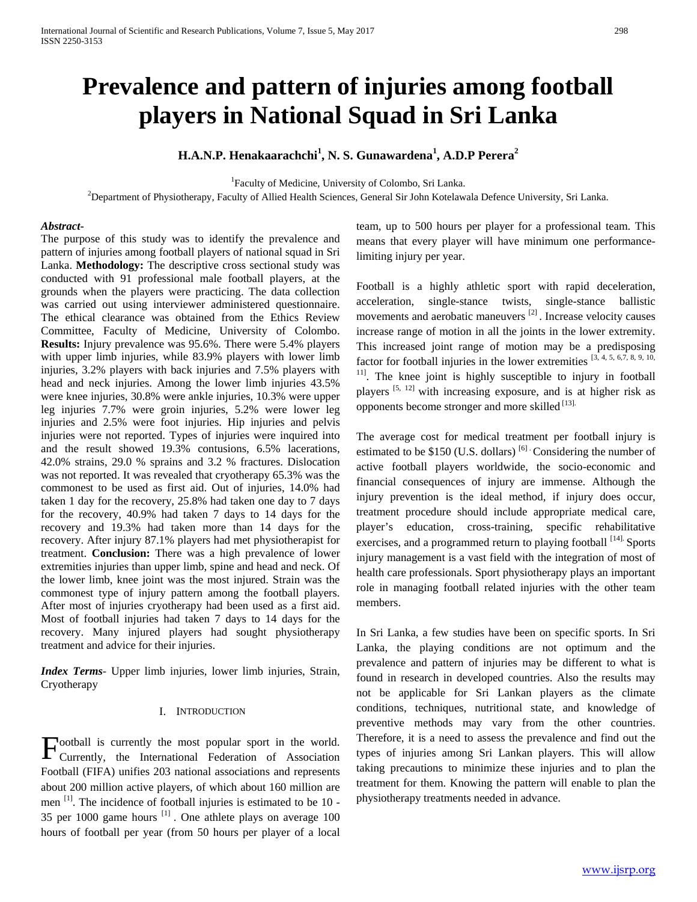# **Prevalence and pattern of injuries among football players in National Squad in Sri Lanka**

# **H.A.N.P. Henakaarachchi<sup>1</sup> , N. S. Gunawardena<sup>1</sup> , A.D.P Perera<sup>2</sup>**

<sup>1</sup>Faculty of Medicine, University of Colombo, Sri Lanka.

2 Department of Physiotherapy, Faculty of Allied Health Sciences, General Sir John Kotelawala Defence University, Sri Lanka.

# *Abstract***-**

The purpose of this study was to identify the prevalence and pattern of injuries among football players of national squad in Sri Lanka. **Methodology:** The descriptive cross sectional study was conducted with 91 professional male football players, at the grounds when the players were practicing. The data collection was carried out using interviewer administered questionnaire. The ethical clearance was obtained from the Ethics Review Committee, Faculty of Medicine, University of Colombo. **Results:** Injury prevalence was 95.6%. There were 5.4% players with upper limb injuries, while 83.9% players with lower limb injuries, 3.2% players with back injuries and 7.5% players with head and neck injuries. Among the lower limb injuries 43.5% were knee injuries, 30.8% were ankle injuries, 10.3% were upper leg injuries 7.7% were groin injuries, 5.2% were lower leg injuries and 2.5% were foot injuries. Hip injuries and pelvis injuries were not reported. Types of injuries were inquired into and the result showed 19.3% contusions, 6.5% lacerations, 42.0% strains, 29.0 % sprains and 3.2 % fractures. Dislocation was not reported. It was revealed that cryotherapy 65.3% was the commonest to be used as first aid. Out of injuries, 14.0% had taken 1 day for the recovery, 25.8% had taken one day to 7 days for the recovery, 40.9% had taken 7 days to 14 days for the recovery and 19.3% had taken more than 14 days for the recovery. After injury 87.1% players had met physiotherapist for treatment. **Conclusion:** There was a high prevalence of lower extremities injuries than upper limb, spine and head and neck. Of the lower limb, knee joint was the most injured. Strain was the commonest type of injury pattern among the football players. After most of injuries cryotherapy had been used as a first aid. Most of football injuries had taken 7 days to 14 days for the recovery. Many injured players had sought physiotherapy treatment and advice for their injuries.

*Index Terms*- Upper limb injuries, lower limb injuries, Strain, Cryotherapy

# I. INTRODUCTION

ootball is currently the most popular sport in the world. Football is currently the most popular sport in the world.<br>Currently, the International Federation of Association Football (FIFA) unifies 203 national associations and represents about 200 million active players, of which about 160 million are men [1]. The incidence of football injuries is estimated to be 10 - 35 per 1000 game hours  $^{[1]}$ . One athlete plays on average 100 hours of football per year (from 50 hours per player of a local

team, up to 500 hours per player for a professional team. This means that every player will have minimum one performancelimiting injury per year.

Football is a highly athletic sport with rapid deceleration, acceleration, single-stance twists, single-stance ballistic movements and aerobatic maneuvers<sup>[2]</sup>. Increase velocity causes increase range of motion in all the joints in the lower extremity. This increased joint range of motion may be a predisposing factor for football injuries in the lower extremities  $[3, 4, 5, 6, 7, 8, 9, 10,$ <sup>11]</sup>. The knee joint is highly susceptible to injury in football players [5, 12] with increasing exposure, and is at higher risk as opponents become stronger and more skilled [13].

The average cost for medical treatment per football injury is estimated to be \$150 (U.S. dollars)  $^{[6]}$  Considering the number of active football players worldwide, the socio-economic and financial consequences of injury are immense. Although the injury prevention is the ideal method, if injury does occur, treatment procedure should include appropriate medical care, player's education, cross-training, specific rehabilitative exercises, and a programmed return to playing football [14]. Sports injury management is a vast field with the integration of most of health care professionals. Sport physiotherapy plays an important role in managing football related injuries with the other team members.

In Sri Lanka, a few studies have been on specific sports. In Sri Lanka, the playing conditions are not optimum and the prevalence and pattern of injuries may be different to what is found in research in developed countries. Also the results may not be applicable for Sri Lankan players as the climate conditions, techniques, nutritional state, and knowledge of preventive methods may vary from the other countries. Therefore, it is a need to assess the prevalence and find out the types of injuries among Sri Lankan players. This will allow taking precautions to minimize these injuries and to plan the treatment for them. Knowing the pattern will enable to plan the physiotherapy treatments needed in advance.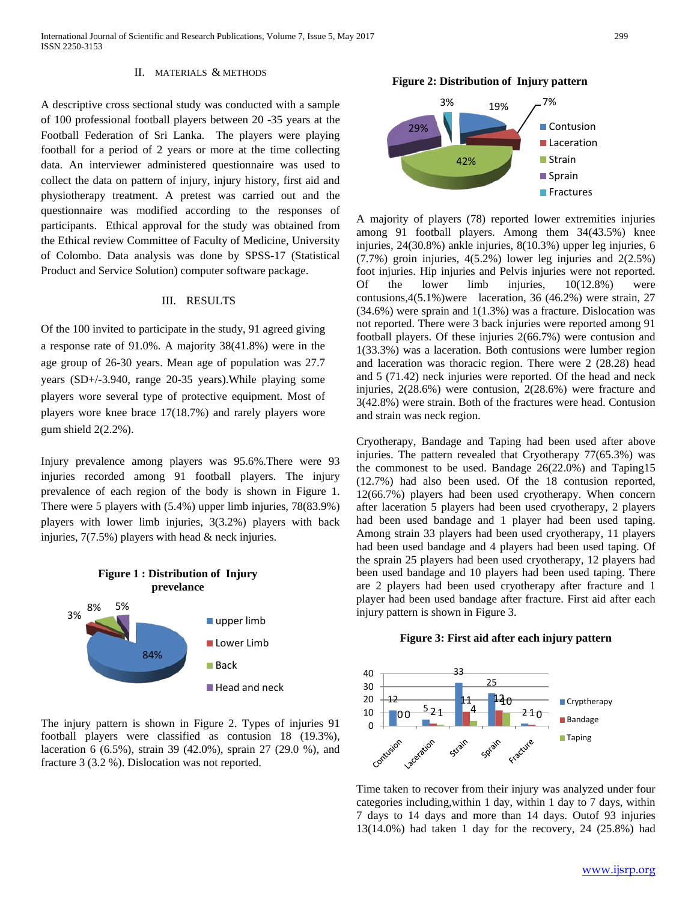International Journal of Scientific and Research Publications, Volume 7, Issue 5, May 2017 299 ISSN 2250-3153

#### II. MATERIALS & METHODS

A descriptive cross sectional study was conducted with a sample of 100 professional football players between 20 -35 years at the Football Federation of Sri Lanka. The players were playing football for a period of 2 years or more at the time collecting data. An interviewer administered questionnaire was used to collect the data on pattern of injury, injury history, first aid and physiotherapy treatment. A pretest was carried out and the questionnaire was modified according to the responses of participants. Ethical approval for the study was obtained from the Ethical review Committee of Faculty of Medicine, University of Colombo. Data analysis was done by SPSS-17 (Statistical Product and Service Solution) computer software package.

## III. RESULTS

Of the 100 invited to participate in the study, 91 agreed giving a response rate of 91.0%. A majority 38(41.8%) were in the age group of 26-30 years. Mean age of population was 27.7 years (SD+/-3.940, range 20-35 years).While playing some players wore several type of protective equipment. Most of players wore knee brace 17(18.7%) and rarely players wore gum shield 2(2.2%).

Injury prevalence among players was 95.6%.There were 93 injuries recorded among 91 football players. The injury prevalence of each region of the body is shown in Figure 1. There were 5 players with (5.4%) upper limb injuries, 78(83.9%) players with lower limb injuries, 3(3.2%) players with back injuries, 7(7.5%) players with head & neck injuries.



The injury pattern is shown in Figure 2. Types of injuries 91 football players were classified as contusion 18 (19.3%), laceration 6 (6.5%), strain 39 (42.0%), sprain 27 (29.0 %), and fracture 3 (3.2 %). Dislocation was not reported.

#### **Figure 2: Distribution of Injury pattern**



A majority of players (78) reported lower extremities injuries among 91 football players. Among them 34(43.5%) knee injuries, 24(30.8%) ankle injuries, 8(10.3%) upper leg injuries, 6 (7.7%) groin injuries, 4(5.2%) lower leg injuries and 2(2.5%) foot injuries. Hip injuries and Pelvis injuries were not reported. Of the lower limb injuries, 10(12.8%) were contusions,4(5.1%)were laceration, 36 (46.2%) were strain, 27 (34.6%) were sprain and 1(1.3%) was a fracture. Dislocation was not reported. There were 3 back injuries were reported among 91 football players. Of these injuries 2(66.7%) were contusion and 1(33.3%) was a laceration. Both contusions were lumber region and laceration was thoracic region. There were 2 (28.28) head and 5 (71.42) neck injuries were reported. Of the head and neck injuries, 2(28.6%) were contusion, 2(28.6%) were fracture and 3(42.8%) were strain. Both of the fractures were head. Contusion and strain was neck region.

Cryotherapy, Bandage and Taping had been used after above injuries. The pattern revealed that Cryotherapy 77(65.3%) was the commonest to be used. Bandage 26(22.0%) and Taping15 (12.7%) had also been used. Of the 18 contusion reported, 12(66.7%) players had been used cryotherapy. When concern after laceration 5 players had been used cryotherapy, 2 players had been used bandage and 1 player had been used taping. Among strain 33 players had been used cryotherapy, 11 players had been used bandage and 4 players had been used taping. Of the sprain 25 players had been used cryotherapy, 12 players had been used bandage and 10 players had been used taping. There are 2 players had been used cryotherapy after fracture and 1 player had been used bandage after fracture. First aid after each injury pattern is shown in Figure 3.

#### **Figure 3: First aid after each injury pattern**



Time taken to recover from their injury was analyzed under four categories including,within 1 day, within 1 day to 7 days, within 7 days to 14 days and more than 14 days. Outof 93 injuries 13(14.0%) had taken 1 day for the recovery, 24 (25.8%) had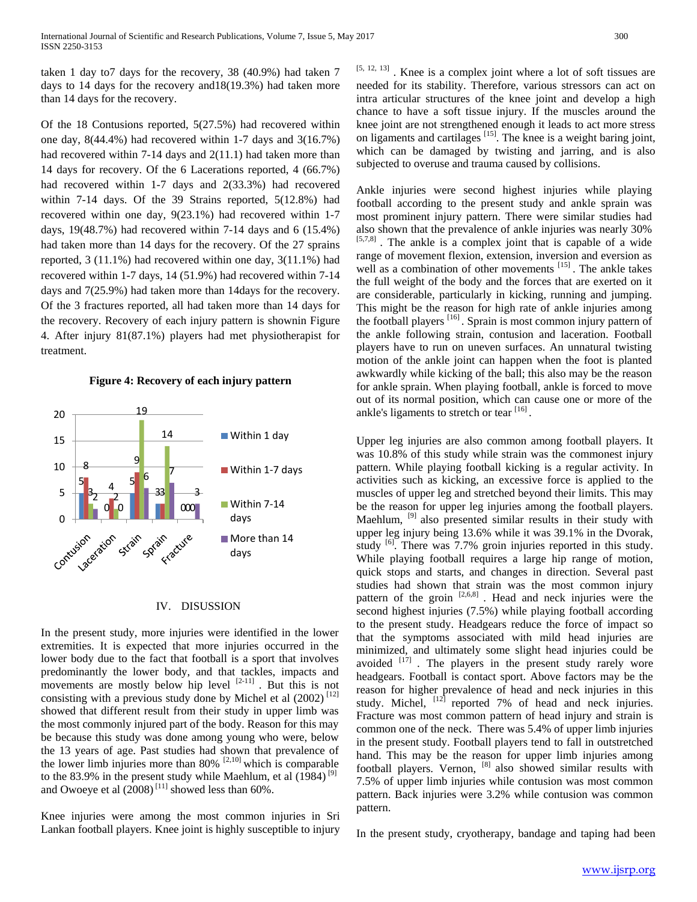taken 1 day to7 days for the recovery, 38 (40.9%) had taken 7 days to 14 days for the recovery and18(19.3%) had taken more than 14 days for the recovery.

Of the 18 Contusions reported, 5(27.5%) had recovered within one day, 8(44.4%) had recovered within 1-7 days and 3(16.7%) had recovered within 7-14 days and 2(11.1) had taken more than 14 days for recovery. Of the 6 Lacerations reported, 4 (66.7%) had recovered within 1-7 days and 2(33.3%) had recovered within 7-14 days. Of the 39 Strains reported, 5(12.8%) had recovered within one day, 9(23.1%) had recovered within 1-7 days, 19(48.7%) had recovered within 7-14 days and 6 (15.4%) had taken more than 14 days for the recovery. Of the 27 sprains reported, 3 (11.1%) had recovered within one day, 3(11.1%) had recovered within 1-7 days, 14 (51.9%) had recovered within 7-14 days and 7(25.9%) had taken more than 14days for the recovery. Of the 3 fractures reported, all had taken more than 14 days for the recovery. Recovery of each injury pattern is shownin Figure 4. After injury 81(87.1%) players had met physiotherapist for treatment.

#### **Figure 4: Recovery of each injury pattern**



#### IV. DISUSSION

In the present study, more injuries were identified in the lower extremities. It is expected that more injuries occurred in the lower body due to the fact that football is a sport that involves predominantly the lower body, and that tackles, impacts and movements are mostly below hip level [2-11]. But this is not consisting with a previous study done by Michel et al  $(2002)^{[12]}$ showed that different result from their study in upper limb was the most commonly injured part of the body. Reason for this may be because this study was done among young who were, below the 13 years of age. Past studies had shown that prevalence of the lower limb injuries more than  $80\%$ <sup>[2,10]</sup> which is comparable to the 83.9% in the present study while Maehlum, et al (1984)<sup>[9]</sup> and Owoeye et al  $(2008)^{[11]}$  showed less than 60%.

Knee injuries were among the most common injuries in Sri Lankan football players. Knee joint is highly susceptible to injury [5, 12, 13]. Knee is a complex joint where a lot of soft tissues are needed for its stability. Therefore, various stressors can act on intra articular structures of the knee joint and develop a high chance to have a soft tissue injury. If the muscles around the knee joint are not strengthened enough it leads to act more stress on ligaments and cartilages [15]. The knee is a weight baring joint, which can be damaged by twisting and jarring, and is also subjected to overuse and trauma caused by collisions.

Ankle injuries were second highest injuries while playing football according to the present study and ankle sprain was most prominent injury pattern. There were similar studies had also shown that the prevalence of ankle injuries was nearly 30% [5,7,8] . The ankle is a complex joint that is capable of a wide range of movement flexion, extension, inversion and eversion as well as a combination of other movements <sup>[15]</sup>. The ankle takes the full weight of the body and the forces that are exerted on it are considerable, particularly in kicking, running and jumping. This might be the reason for high rate of ankle injuries among the football players  $[16]$ . Sprain is most common injury pattern of the ankle following strain, contusion and laceration. Football players have to run on uneven surfaces. An unnatural twisting motion of the ankle joint can happen when the foot is planted awkwardly while kicking of the ball; this also may be the reason for ankle sprain. When playing football, ankle is forced to move out of its normal position, which can cause one or more of the ankle's ligaments to stretch or tear  $[16]$ .

Upper leg injuries are also common among football players. It was 10.8% of this study while strain was the commonest injury pattern. While playing football kicking is a regular activity. In activities such as kicking, an excessive force is applied to the muscles of upper leg and stretched beyond their limits. This may be the reason for upper leg injuries among the football players. Maehlum, <sup>[9]</sup> also presented similar results in their study with upper leg injury being 13.6% while it was 39.1% in the Dvorak, study <sup>[6]</sup>. There was 7.7% groin injuries reported in this study. While playing football requires a large hip range of motion, quick stops and starts, and changes in direction. Several past studies had shown that strain was the most common injury pattern of the groin [2,6,8]. Head and neck injuries were the second highest injuries (7.5%) while playing football according to the present study. Headgears reduce the force of impact so that the symptoms associated with mild head injuries are minimized, and ultimately some slight head injuries could be avoided [17]. The players in the present study rarely wore headgears. Football is contact sport. Above factors may be the reason for higher prevalence of head and neck injuries in this study. Michel,  $[12]$  reported 7% of head and neck injuries. Fracture was most common pattern of head injury and strain is common one of the neck. There was 5.4% of upper limb injuries in the present study. Football players tend to fall in outstretched hand. This may be the reason for upper limb injuries among football players. Vernon, [8] also showed similar results with 7.5% of upper limb injuries while contusion was most common pattern. Back injuries were 3.2% while contusion was common pattern.

In the present study, cryotherapy, bandage and taping had been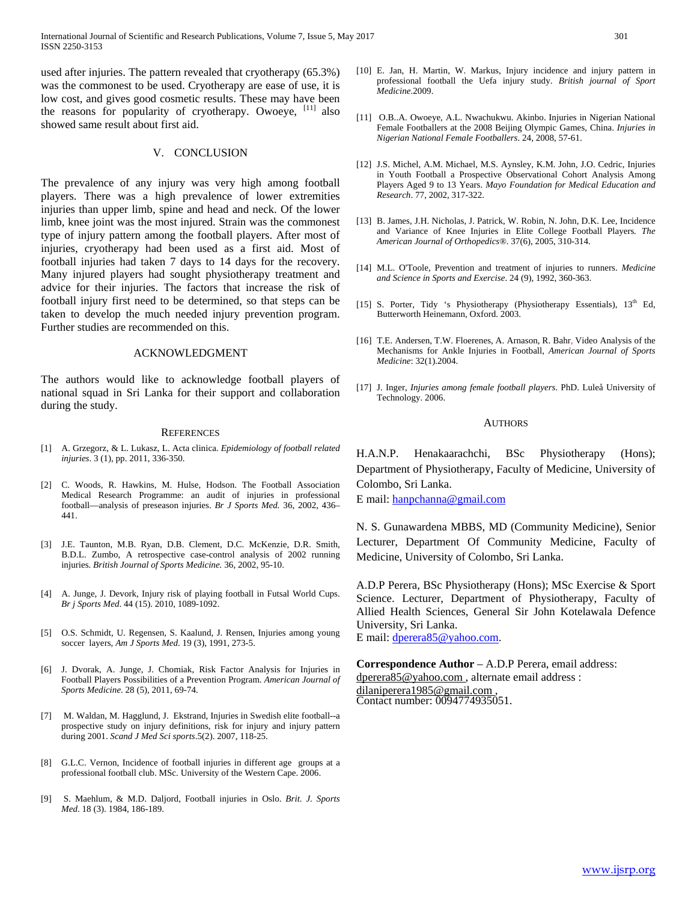International Journal of Scientific and Research Publications, Volume 7, Issue 5, May 2017 301 ISSN 2250-3153

used after injuries. The pattern revealed that cryotherapy (65.3%) was the commonest to be used. Cryotherapy are ease of use, it is low cost, and gives good cosmetic results. These may have been the reasons for popularity of cryotherapy. Owoeye, [11] also showed same result about first aid.

### V. CONCLUSION

The prevalence of any injury was very high among football players. There was a high prevalence of lower extremities injuries than upper limb, spine and head and neck. Of the lower limb, knee joint was the most injured. Strain was the commonest type of injury pattern among the football players. After most of injuries, cryotherapy had been used as a first aid. Most of football injuries had taken 7 days to 14 days for the recovery. Many injured players had sought physiotherapy treatment and advice for their injuries. The factors that increase the risk of football injury first need to be determined, so that steps can be taken to develop the much needed injury prevention program. Further studies are recommended on this.

#### ACKNOWLEDGMENT

The authors would like to acknowledge football players of national squad in Sri Lanka for their support and collaboration during the study.

#### **REFERENCES**

- [1] A. Grzegorz, & L. Lukasz, L. Acta clinica. *Epidemiology of football related injuries*. 3 (1), pp. 2011, 336-350.
- [2] C. Woods, R. Hawkins, M. Hulse, Hodson. The Football Association Medical Research Programme: an audit of injuries in professional football—analysis of preseason injuries. *Br J Sports Med.* 36, 2002, 436– 441.
- [3] J.E. Taunton, M.B. Ryan, D.B. Clement, D.C. McKenzie, D.R. Smith, B.D.L. Zumbo, A retrospective case-control analysis of 2002 running injuries. *British Journal of Sports Medicine.* 36, 2002, 95-10.
- [4] A. Junge, J. Devork, Injury risk of playing football in Futsal World Cups. *Br j Sports Med*. 44 (15). 2010, 1089-1092.
- [5] O.S. Schmidt, U. Regensen, S. Kaalund, J. Rensen, Injuries among young soccer layers, *Am J Sports Med*. 19 (3), 1991, 273-5.
- [6] J. Dvorak, A. Junge, J. Chomiak, Risk Factor Analysis for Injuries in Football Players Possibilities of a Prevention Program. *American Journal of Sports Medicine*. 28 (5), 2011, 69-74.
- [7] M. Waldan, M. Hagglund, J. Ekstrand, Injuries in Swedish elite football--a prospective study on injury definitions, risk for injury and injury pattern during 2001. *Scand J Med Sci sports*.5(2). 2007, 118-25.
- [8] G.L.C. Vernon, Incidence of football injuries in different age groups at a professional football club. MSc. University of the Western Cape. 2006.
- [9] S. Maehlum, & M.D. Daljord, Football injuries in Oslo. *Brit. J. Sports Med*. 18 (3). 1984, 186-189.
- [10] E. Jan, H. Martin, W. Markus, Injury incidence and injury pattern in professional football the Uefa injury study. *British journal of Sport Medicine*.2009.
- [11] O.B..A. Owoeye, A.L. Nwachukwu. Akinbo. Injuries in Nigerian National Female Footballers at the 2008 Beijing Olympic Games, China. *Injuries in Nigerian National Female Footballers*. 24, 2008, 57-61.
- [12] J.S. Michel, A.M. Michael, M.S. Aynsley, K.M. John, J.O. Cedric, Injuries in Youth Football a Prospective Observational Cohort Analysis Among Players Aged 9 to 13 Years. *Mayo Foundation for Medical Education and Research*. 77, 2002, 317-322.
- [13] B. James, J.H. Nicholas, J. Patrick, W. Robin, N. John, D.K. Lee, Incidence and Variance of Knee Injuries in Elite College Football Players*. The American Journal of Orthopedics®*. 37(6), 2005, 310-314.
- [14] M.L. O'Toole, Prevention and treatment of injuries to runners. *Medicine and Science in Sports and Exercise*. 24 (9), 1992, 360-363.
- [15] S. Porter, Tidy 's Physiotherapy (Physiotherapy Essentials), 13<sup>th</sup> Ed, Butterworth Heinemann, Oxford. 2003.
- [16] T.E. [Andersen,](http://journals.sagepub.com/author/Andersen%2C+Thor+Einar) T.W[. Floerenes,](http://journals.sagepub.com/author/Floerenes%2C+Tonje+Waale) A[. Arnason,](http://journals.sagepub.com/author/Arnason%2C+Arni) R. [Bahr,](http://journals.sagepub.com/author/Bahr%2C+Roald) Video Analysis of the Mechanisms for Ankle Injuries in Football, *American Journal of Sports Medicine*: 32(1).2004.
- [17] J. Inger, *Injuries among female football players*. PhD. Luleå University of Technology. 2006.

#### **AUTHORS**

H.A.N.P. Henakaarachchi, BSc Physiotherapy (Hons); Department of Physiotherapy, Faculty of Medicine, University of Colombo, Sri Lanka.

E mail: [hanpchanna@gmail.com](mailto:hanpchanna@gmail.com)

N. S. Gunawardena MBBS, MD (Community Medicine), Senior Lecturer, Department Of Community Medicine, Faculty of Medicine, University of Colombo, Sri Lanka.

A.D.P Perera, BSc Physiotherapy (Hons); MSc Exercise & Sport Science. Lecturer, Department of Physiotherapy, Faculty of Allied Health Sciences, General Sir John Kotelawala Defence University, Sri Lanka. E mail: [dperera85@yahoo.com.](mailto:dperera85@yahoo.com)

**Correspondence Author** – A.D.P Perera, email address: dperera85@yahoo.com, alternate email address :<br>dilaniperera1985@gmail.com, Contact number: 0094774935051.